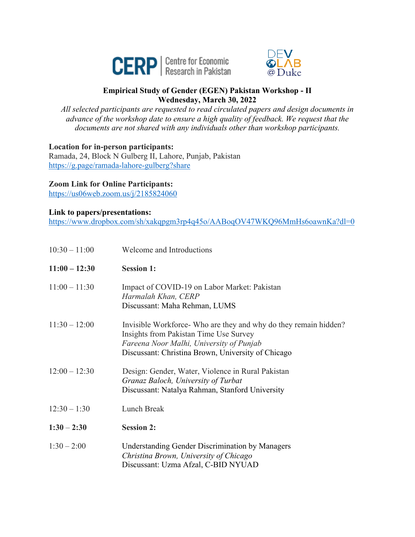



## **Empirical Study of Gender (EGEN) Pakistan Workshop - II Wednesday, March 30, 2022**

*All selected participants are requested to read circulated papers and design documents in advance of the workshop date to ensure a high quality of feedback. We request that the documents are not shared with any individuals other than workshop participants.*

**Location for in-person participants:**

Ramada, 24, Block N Gulberg II, Lahore, Punjab, Pakistan https://g.page/ramada-lahore-gulberg?share

## **Zoom Link for Online Participants:**

https://us06web.zoom.us/j/2185824060

## **Link to papers/presentations:**

https://www.dropbox.com/sh/xakqpgm3rp4q45o/AABoqOV47WKQ96MmHs6oawnKa?dl=0

| $10:30 - 11:00$ | Welcome and Introductions                                                                                                                                                                                    |
|-----------------|--------------------------------------------------------------------------------------------------------------------------------------------------------------------------------------------------------------|
| $11:00 - 12:30$ | <b>Session 1:</b>                                                                                                                                                                                            |
| $11:00 - 11:30$ | Impact of COVID-19 on Labor Market: Pakistan<br>Harmalah Khan, CERP<br>Discussant: Maha Rehman, LUMS                                                                                                         |
| $11:30 - 12:00$ | Invisible Workforce- Who are they and why do they remain hidden?<br>Insights from Pakistan Time Use Survey<br>Fareena Noor Malhi, University of Punjab<br>Discussant: Christina Brown, University of Chicago |
| $12:00 - 12:30$ | Design: Gender, Water, Violence in Rural Pakistan<br>Granaz Baloch, University of Turbat<br>Discussant: Natalya Rahman, Stanford University                                                                  |
| $12:30 - 1:30$  | Lunch Break                                                                                                                                                                                                  |
| $1:30 - 2:30$   | <b>Session 2:</b>                                                                                                                                                                                            |
| $1:30 - 2:00$   | <b>Understanding Gender Discrimination by Managers</b><br>Christina Brown, University of Chicago<br>Discussant: Uzma Afzal, C-BID NYUAD                                                                      |